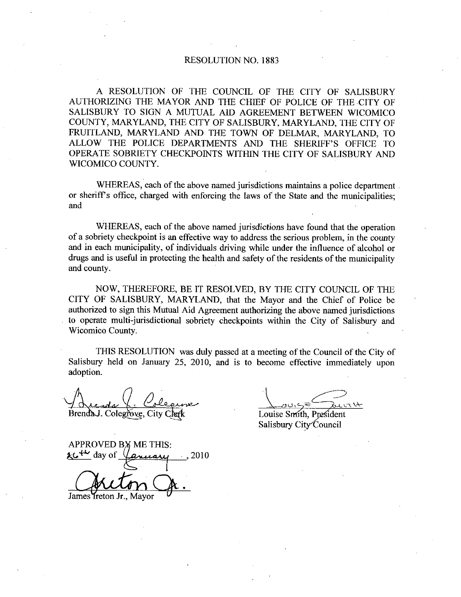# RESOLUTION NO. 1883

A RESOLUTION OF THE COUNCIL OF THE CITY OF SALISBURY AUTHORIZING THE MAYOR AND THE CHIEF OF POLICE OF THE CITY OF SALISBURY TO SIGN A MUTUAL AID AGREEMENT BETWEEN WICOMICO COUNTY, MARYLAND, THE CITY OF SALISBURY, MARYLAND, THE CITY OF FRUITLAND, MARYLAND AND THE TOWN OF DELMAR, MARYLAND, TO AUTHORIZING THE MAYOR AND THE CHIEF OF POLICE OF THE CITY OF SALISBURY TO SIGN A MUTUAL AID AGREEMENT BETWEEN WICOMICO COUNTY, MARYLAND, THE CITY OF SALISBURY, MARYLAND, THE CITY OF FRUITLAND, MARYLAND AND THE TOWN OF DELM OPERATE SOBRIETY CHECKPOINTS WITHIN THE CITY OF SALISBURY AND WICOMICO COUNTY

WHEREAS, each of the above named jurisdictions maintains a police department or sheriff's office, charged with enforcing the laws of the State and the municipalities; and

WHEREAS, each of the above named jurisdictions have found that the operation of a sobriety checkpoint is an effective way to address the serious problem, in the county and in each municipality, of individuals driving while under the influence of alcohol or drugs and is useful in protecting the health and safety of the residents of the municipality and county

NOW, THEREFORE, BE IT RESOLVED, BY THE CITY COUNCIL OF THE CITY OF SALISBURY, MARYLAND, that the Mayor and the Chief of Police be authorized to sign this Mutual Aid Agreement authorizing the above named jurisdictions to operate multi-jurisdictional sobriety checkpoints within the City of Salisbury and Wicomico County

THIS RESOLUTION was duly passed at ameeting of the Council of the City of Salisbury held on January 25, 2010, and is to become effective immediately upon adoption

Brenda J. Colegrove, City Clerk Louise Smith, President

Salisbury City Council

APPROVED BY ME THIS:  $4\sim$  day of  $\sqrt{a}x$ uary (2010)

James Ireton Jr., Mayor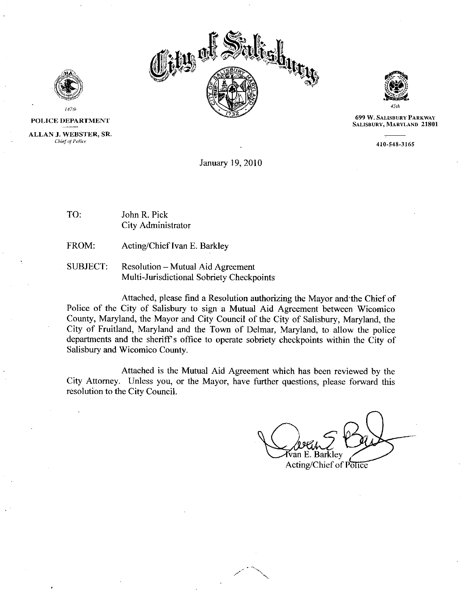



POLICE DEPARTMENT ALLAN J. WEBSTER, SR. Chief of Police

47th

*state of the MARYLA* 45th

699 W. SALISBURY PARKWAY 699 W. SALISBURY PARKWAY<br>SALISBURY, MARYLAND 21801<br>410-548-3165

January 19, 2010

- TO: John R. Pick City Administrator
- FROM: Acting/Chief Ivan E. Barkley
- SUBJECT: Resolution Mutual Aid Agreement Resolution – Mutual Aid Agreement<br>Multi-Jurisdictional Sobriety Checkpoints

Attached, please find a Resolution authorizing the Mayor and the Chief of Police of the City of Salisbury to sign a Mutual Aid Agreement between Wicomico County, Maryland, the Mayor and City Council of the City of Salisbury, Maryland, the City of Fruitland, Maryland and the Town of Delmar, Maryland, to allow the police Attached, please find a Resolution authorizing the Mayor and the Chief of<br>Police of the City of Salisbury to sign a Mutual Aid Agreement between Wicomico<br>County, Maryland, the Mayor and City Council of the City of Salisbur Salisbury and Wicomico County

Attached is the Mutual Aid Agreement which has been reviewed by the City Attorney. Unless you, or the Mayor, have further questions, please forward this resolution to the City Council

zan E. Barkley Acting/Chief of Police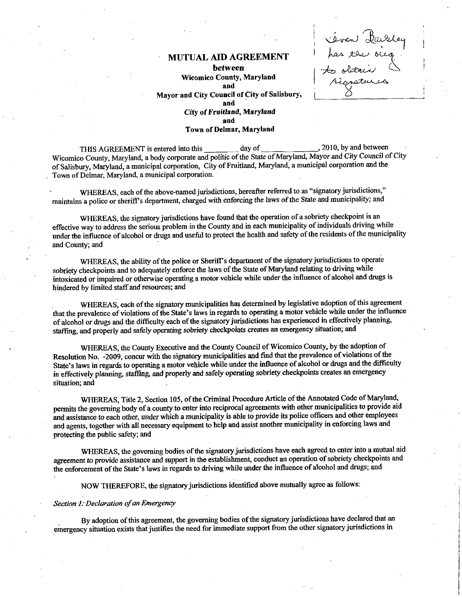## MUTUALAID AGREEMENT

between Wicomico County, Maryland and Mayor and City Council of City of Salisbury, and City of Fruitland, Maryland and Town of Delmar, Maryland

.<br>Seven<br>has te éven Part<br>has the bieg<br>sobitaires<br>signatures iven Pais<br>pas ter bicq<br>pas ter bicq<br>pagatures

THIS AGREEMENT is entered into this day of 2010 by and between Wicomico County, Maryland, a body corporate and politic of the State of Maryland, Mayor and City Council of City of Salisbury, Maryland, a municipal corporation, City of Fruitland, Maryland, a municipal corporation and the Town of Delmar, Maryland, a municipal corporation. maintains apolice or sheriff's<br>of Salisbury, Maryland, a mun<br>Town of Delmar, Maryland, a<br>WHEREAS, each of t<br>maintains a police or sheriff's

WHEREAS, each of the above-named jurisdictions, hereafter referred to as "signatory jurisdictions," department, charged with enforcing the laws of the State and municipality; and

WHEREAS, the signatory jurisdictions have found that the operation of a sobriety checkpoint is an effective way to address the serious problem in the County and in each municipality of individuals driving while under the influence of alcohol or drugs and useful to protect the health and safety of the residents of the municipality and County; and

WHEREAS, the ability of the police or Sheriff's department of the signatory jurisdictions to operate sobriety checkpoints and to adequately enforce the laws of the State of Maryland relating to driving while intoxicated or impaired or otherwise operating a motor vehicle while under the influence of alcohol and drugs is hindered by limited staff and resources; and

WHEREAS, each of the signatory municipalities has determined by legislative adoption of this agreement that the prevalence of violations of the State's laws in regards to operating a motor vehicle while under the influence of alcohol or drugs and the difficulty each of the signatory jurisdictions has experienced in effectively planning, staffing, and properly and safely operating sobriety checkpoints creates an emergency situation; and

WHEREAS, the County Executive and the County Council of Wicomico County, by the adoption of Resolution No. -2009, concur with the signatory municipalities and find that the prevalence of violations of the State's laws in regards to operating a motor vehicle while under the influence of alcohol or drugs and the difficulty in effectively planning, staffing, and properly and safely operating sobriety checkpoints creates an emergency situation; and

WHEREAS, Title 2, Section 105, of the Criminal Procedure Article of the Annotated Code of Maryland, permits the governing body of acounty to enter into reciproeal agreements with other municipalities to provide aid and assistance to each other, under which a municipality is able to provide its police officers and other employees and agents, together with all necessary equipment to help and assist another municipality in enforcing laws and protecting the public safety; and

WHEREAS, the governing bodies of the signatory jurisdictions have each agreed to enter into a mutual aid agreement to provide assistance and support in the establishment, conduct an operation of sobriety checkpoints and WHEREAS, the governing bodies of the signatory jurisdictions have each agreed to enter into a magreement to provide assistance and support in the establishment, conduct an operation of sobriety checkpoid the enforcement of

NOW THEREFORE, the signatory jurisdictions identified above mutually agree as follows:

### Section 1. Declaration of an Emergency

By adoption of this agreement, the governing bodies of the signatory jurisdictions have declared that an emergency situation exists that justifies the need for immediate support from the other signatory jurisdictions in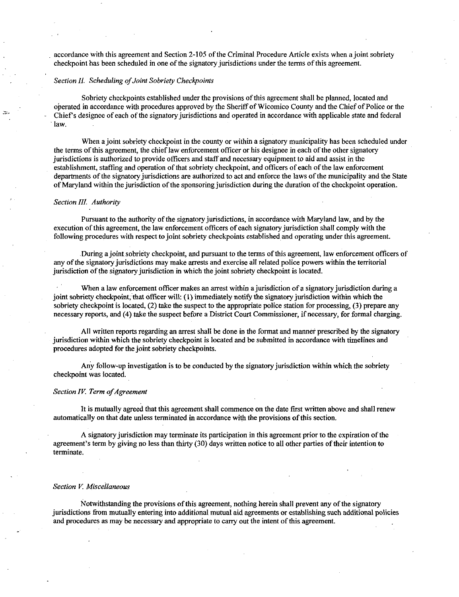accordance with this agreement and Section 2105 of the Criminal Procedure Article exists when ajoint sobriety checkpoint has been scheduled in one of the signatory jurisdictions under the terms of this agreement.

## Section II. Scheduling of Joint Sobriety Checkpoints

Sobriety checkpoints established under the provisions of this agreement shall be planned, located and operated in accordance with procedures approved by the Sheriff of Wicomico County and the Chief of Police or the Chief's designee of each of the signatory jurisdictions and operated in accordance with applicable state and federal law

When a joint sobriety checkpoint in the county or within a signatory municipality has been scheduled under the terms of this agreement, the chief law enforcement officer or his designee in each of the other signatory jurisdictions is authorized to provide officers and staff and necessary equipment to aid and assist in the establishment, staffing and operation of that sobriety checkpoint, and officers of each of the law enforcement departments of the signatory jurisdictions are authorized to act and enforce the laws of the municipality and the State of Maryland within the jurisdiction of the sponsoring jurisdiction during the duration of the checkpoint operation.

## Section III. Authority

Pursuant to the authority of the signatory jurisdictions, in accordance with Maryland law, and by the execution of this agreement, the law enforcement officers of each signatory jurisdiction shall comply with the following procedures with respect to joint sobriety checkpoints established and operating under this agreement

During a joint sobriety checkpoint, and pursuant to the terms of this agreement, law enforcement officers of any of the signatory jurisdictions may make arrests and exercise all related police powers within the territorial jurisdiction of the signatory jurisdiction in which the joint sobriety checkpoint is located.

When a law enforcement officer makes an arrest within a jurisdiction of a signatory jurisdiction during a joint sobriety checkpoint, that officer will;  $(1)$  immediately notify the signatory jurisdiction within which the sobriety checkpoint is located, (2) take the suspect to the appropriate police station for processing, (3) prepare any necessary reports, and (4) take the suspect before a District Court Commissioner, if necessary, for formal charging.

All written reports regazding an arrest shall be done in the format andmanner prescribed by the signatory jurisdiction within which the sobriety checkpoint is located andbe submitted in accordance with timelines and procedures adopted for the joint sobriety checkpoints.

Any follow-up investigation is to be conducted by the signatory jurisdiction within which the sobriety checkpoint was located

#### Section IV. Term of Agreement

It is mutually agreed that this agreement shall commence on the date first written above and shall renew automatically on that date unless terminated in accordance with the provisions of this section

A signatory jurisdiction may terminate its participation in this agreement prior to the expiration of the agreement's term by giving no less than thirty (30) days written notice to all other parties of their intention to terminate

#### Section V. Miscellaneous

Notwithstanding the provisions of this agreement, nothing herein shall prevent any of the signatory jurisdictions from mutually entering into additional mutual aid agreements orestablishing such additional policies and procedures as may be necessary and appropriate to carry out the intent of this agreement.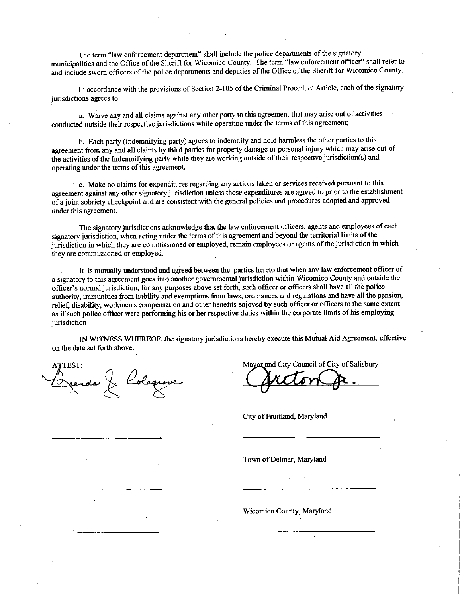The term "law enforcement department" shall include the police departments of the signatory municipalities and the Office of the Sheriff for Wicomico County. The term "law enforcement officer" shall refer to municipalities and the Office of the Sheriff for Wicomico County. The term haw emblement office is sharp referent and include sworn officers of the police departments and deputies of the Office of the Sheriff for Wicomico

jurisdictions agrees to:

a. Waive any and all claims against any other party to this agreement that may arise out of activities conducted outside their respective jurisdictions while operating under the terms of this agreement

b. Each party (Indemnifying party) agrees to indemnify and hold harmless the other parties to this agreement from any and all claims by third parties for property damage or personal injury which may arise out of In accordance with the provisions of section 2-103 of the Criminal Procedute Affice, each of the signisdictions agrees to:<br>
a. Waive any and all claims against any other party to this agreement that may arise out of activi operating under the terms of this agreement.

 $\cdot$  c. Make no claims for expenditures regarding any actions taken or services received pursuant to this agreement against any other signatory jurisdiction unless those expenditures are agreed to prior to the establishment of <sup>a</sup>joint sobriety checkpoint and are consistent with the general policies and procedwes adopted and approved under this agreement

The signatory jurisdictions acknowledge that the law enforcement officers, agents and employees of each signatory jurisdiction, when acting under the terms of this agreement and beyond the territorial limits of the jurisdiction in which they are commissioned or employed, remain employees or agents of the jurisdiction in which they are commissioned or employed

It is mutually understood and agreed between the parties hereto that when any law enforcement officer of a signatory to this agreement goes into another governmental jurisdiction within Wicomico County and outside the officer's normal jurisdiction, for any purposes above set forth, such officer or officers shall have all the of they are commissioned or employed, tend in employees of agains or any jurisdiction in which are commissioned or employed.<br>
It is mutually understood and agreed between the parties hereto that when any law enforcement of they are commissioned or employed.<br>
It is mutually understood and agreed between the parties hereto that when any law enforcement officer o<br>
a signatory to this agreement goes into another governmental jurisdiction within relief, disability, workmen's compensation and other benefits enjoyed by such officer or officers to the same extent as if such police officer were performing his or her respective duties within the corporate limits of his jurisdiction

IN WITNESS WHEREOF, the signatory jurisdictions hereby execute this Mutual Aid Agreement, effective on the date set forth above

Mayor and City Council of City of Salisbury

City of Fruitland, Maryland

Town of Delmar, Maryland

Wicomico County, Maryland